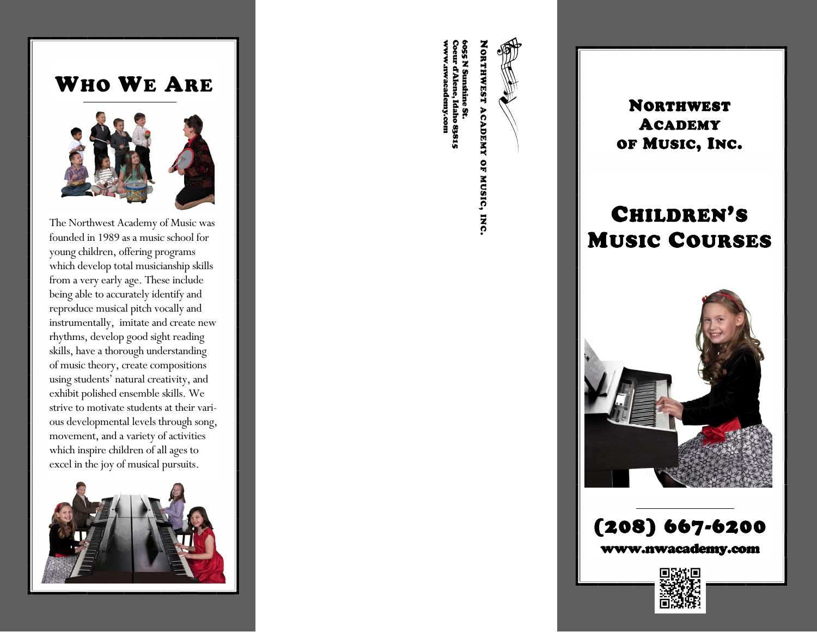# WHO WE ARE



The Northwest Academy of Music was founded in 1989 as a music school for young children, offering programs which develop total musicianship skills from a very early age. These include being able to accurately identify and reproduce musical pitch vocally and instrumentally, imitate and create new rhythms, develop good sight reading skills, have a thorough understanding of music theory, create compositions using students' natural creativity, and exhibit polished ensemble skills. We strive to motivate students at their various developmental levels through song, movement, and a variety of activities which inspire children of all ages to excel in the joy of musical pursuits.



NORTHWEST

ACADEMY OF MUSIC, INC.

www.nwacademy.com Coeur d'Alene, Idaho 83815 6055 N Sunshine St. 055 N Sunshine St.<br>oeur d'Alene, Idaho 83815<br>vww..nwacademy.com

NORTHWEST ACADEMYOF MUSIC, INC.

# CHILDREN'SMUSIC COURSES